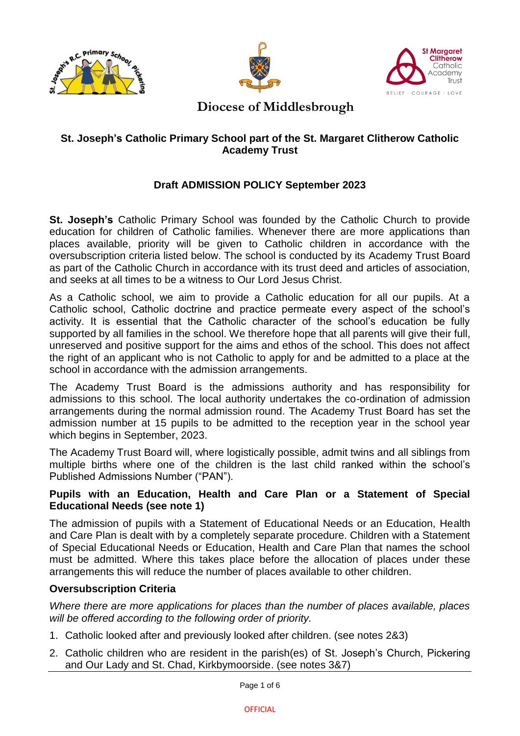





**Diocese of Middlesbrough**

## **St. Joseph's Catholic Primary School part of the St. Margaret Clitherow Catholic Academy Trust**

# **Draft ADMISSION POLICY September 2023**

**St. Joseph's** Catholic Primary School was founded by the Catholic Church to provide education for children of Catholic families. Whenever there are more applications than places available, priority will be given to Catholic children in accordance with the oversubscription criteria listed below. The school is conducted by its Academy Trust Board as part of the Catholic Church in accordance with its trust deed and articles of association, and seeks at all times to be a witness to Our Lord Jesus Christ.

As a Catholic school, we aim to provide a Catholic education for all our pupils. At a Catholic school, Catholic doctrine and practice permeate every aspect of the school's activity. It is essential that the Catholic character of the school's education be fully supported by all families in the school. We therefore hope that all parents will give their full, unreserved and positive support for the aims and ethos of the school. This does not affect the right of an applicant who is not Catholic to apply for and be admitted to a place at the school in accordance with the admission arrangements.

The Academy Trust Board is the admissions authority and has responsibility for admissions to this school. The local authority undertakes the co-ordination of admission arrangements during the normal admission round. The Academy Trust Board has set the admission number at 15 pupils to be admitted to the reception year in the school year which begins in September, 2023.

The Academy Trust Board will, where logistically possible, admit twins and all siblings from multiple births where one of the children is the last child ranked within the school's Published Admissions Number ("PAN").

## **Pupils with an Education, Health and Care Plan or a Statement of Special Educational Needs (see note 1)**

The admission of pupils with a Statement of Educational Needs or an Education, Health and Care Plan is dealt with by a completely separate procedure. Children with a Statement of Special Educational Needs or Education, Health and Care Plan that names the school must be admitted. Where this takes place before the allocation of places under these arrangements this will reduce the number of places available to other children.

## **Oversubscription Criteria**

*Where there are more applications for places than the number of places available, places will be offered according to the following order of priority.*

- 1. Catholic looked after and previously looked after children. (see notes 2&3)
- 2. Catholic children who are resident in the parish(es) of St. Joseph's Church, Pickering and Our Lady and St. Chad, Kirkbymoorside. (see notes 3&7)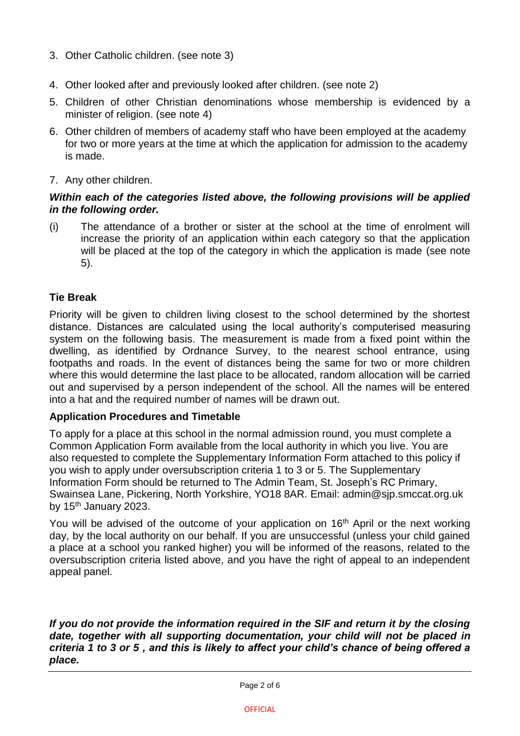- 3. Other Catholic children. (see note 3)
- 4. Other looked after and previously looked after children. (see note 2)
- 5. Children of other Christian denominations whose membership is evidenced by a minister of religion. (see note 4)
- 6. Other children of members of academy staff who have been employed at the academy for two or more years at the time at which the application for admission to the academy is made.
- 7. Any other children.

### *Within each of the categories listed above, the following provisions will be applied in the following order.*

(i) The attendance of a brother or sister at the school at the time of enrolment will increase the priority of an application within each category so that the application will be placed at the top of the category in which the application is made (see note 5).

## **Tie Break**

Priority will be given to children living closest to the school determined by the shortest distance. Distances are calculated using the local authority's computerised measuring system on the following basis. The measurement is made from a fixed point within the dwelling, as identified by Ordnance Survey, to the nearest school entrance, using footpaths and roads. In the event of distances being the same for two or more children where this would determine the last place to be allocated, random allocation will be carried out and supervised by a person independent of the school. All the names will be entered into a hat and the required number of names will be drawn out.

#### **Application Procedures and Timetable**

To apply for a place at this school in the normal admission round, you must complete a Common Application Form available from the local authority in which you live. You are also requested to complete the Supplementary Information Form attached to this policy if you wish to apply under oversubscription criteria 1 to 3 or 5. The Supplementary Information Form should be returned to The Admin Team, St. Joseph's RC Primary, Swainsea Lane, Pickering, North Yorkshire, YO18 8AR. Email: admin@sjp.smccat.org.uk by 15<sup>th</sup> January 2023.

You will be advised of the outcome of your application on  $16<sup>th</sup>$  April or the next working day, by the local authority on our behalf. If you are unsuccessful (unless your child gained a place at a school you ranked higher) you will be informed of the reasons, related to the oversubscription criteria listed above, and you have the right of appeal to an independent appeal panel.

*If you do not provide the information required in the SIF and return it by the closing*  date, together with all supporting documentation, your child will not be placed in *criteria 1 to 3 or 5 , and this is likely to affect your child's chance of being offered a place.*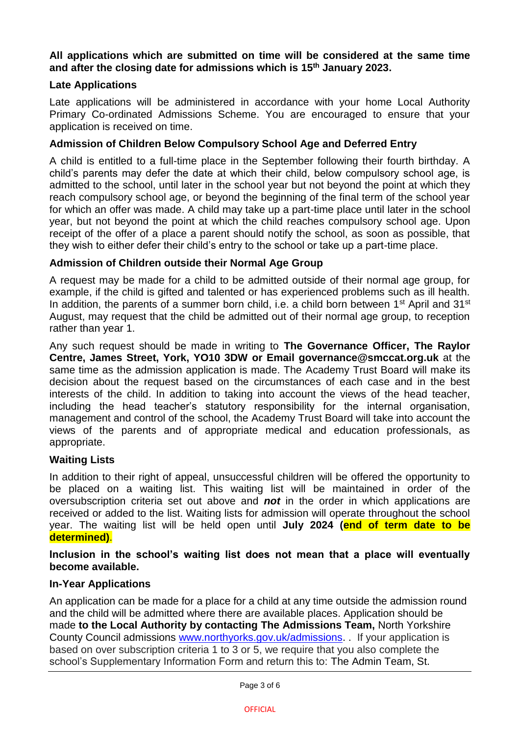## **All applications which are submitted on time will be considered at the same time and after the closing date for admissions which is 15th January 2023.**

## **Late Applications**

Late applications will be administered in accordance with your home Local Authority Primary Co-ordinated Admissions Scheme. You are encouraged to ensure that your application is received on time.

## **Admission of Children Below Compulsory School Age and Deferred Entry**

A child is entitled to a full-time place in the September following their fourth birthday. A child's parents may defer the date at which their child, below compulsory school age, is admitted to the school, until later in the school year but not beyond the point at which they reach compulsory school age, or beyond the beginning of the final term of the school year for which an offer was made. A child may take up a part-time place until later in the school year, but not beyond the point at which the child reaches compulsory school age. Upon receipt of the offer of a place a parent should notify the school, as soon as possible, that they wish to either defer their child's entry to the school or take up a part-time place.

#### **Admission of Children outside their Normal Age Group**

A request may be made for a child to be admitted outside of their normal age group, for example, if the child is gifted and talented or has experienced problems such as ill health. In addition, the parents of a summer born child, i.e. a child born between  $1^{st}$  April and  $31^{st}$ August, may request that the child be admitted out of their normal age group, to reception rather than year 1.

Any such request should be made in writing to **The Governance Officer, The Raylor Centre, James Street, York, YO10 3DW or Email governance@smccat.org.uk** at the same time as the admission application is made. The Academy Trust Board will make its decision about the request based on the circumstances of each case and in the best interests of the child. In addition to taking into account the views of the head teacher, including the head teacher's statutory responsibility for the internal organisation, management and control of the school, the Academy Trust Board will take into account the views of the parents and of appropriate medical and education professionals, as appropriate.

#### **Waiting Lists**

In addition to their right of appeal, unsuccessful children will be offered the opportunity to be placed on a waiting list. This waiting list will be maintained in order of the oversubscription criteria set out above and *not* in the order in which applications are received or added to the list. Waiting lists for admission will operate throughout the school year. The waiting list will be held open until **July 2024 (end of term date to be determined)**.

**Inclusion in the school's waiting list does not mean that a place will eventually become available.**

#### **In-Year Applications**

An application can be made for a place for a child at any time outside the admission round and the child will be admitted where there are available places. Application should be made **to the Local Authority by contacting The Admissions Team,** North Yorkshire County Council admissions [www.northyorks.gov.uk/admissions.](http://www.northyorks.gov.uk/admissions) . If your application is based on over subscription criteria 1 to 3 or 5, we require that you also complete the school's Supplementary Information Form and return this to: The Admin Team, St.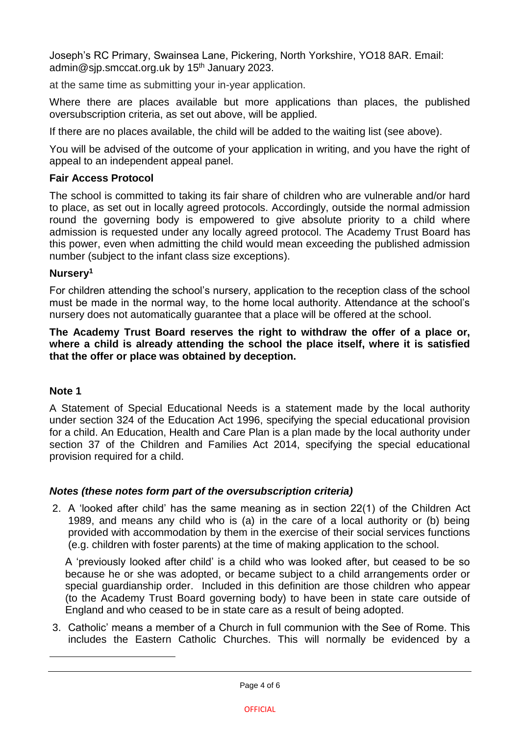Joseph's RC Primary, Swainsea Lane, Pickering, North Yorkshire, YO18 8AR. Email: admin@sjp.smccat.org.uk by  $15<sup>th</sup>$  January 2023.

at the same time as submitting your in-year application.

Where there are places available but more applications than places, the published oversubscription criteria, as set out above, will be applied.

If there are no places available, the child will be added to the waiting list (see above).

You will be advised of the outcome of your application in writing, and you have the right of appeal to an independent appeal panel.

# **Fair Access Protocol**

The school is committed to taking its fair share of children who are vulnerable and/or hard to place, as set out in locally agreed protocols. Accordingly, outside the normal admission round the governing body is empowered to give absolute priority to a child where admission is requested under any locally agreed protocol. The Academy Trust Board has this power, even when admitting the child would mean exceeding the published admission number (subject to the infant class size exceptions).

# **Nursery<sup>1</sup>**

For children attending the school's nursery, application to the reception class of the school must be made in the normal way, to the home local authority. Attendance at the school's nursery does not automatically guarantee that a place will be offered at the school.

**The Academy Trust Board reserves the right to withdraw the offer of a place or, where a child is already attending the school the place itself, where it is satisfied that the offer or place was obtained by deception.**

# **Note 1**

1

A Statement of Special Educational Needs is a statement made by the local authority under section 324 of the Education Act 1996, specifying the special educational provision for a child. An Education, Health and Care Plan is a plan made by the local authority under section 37 of the Children and Families Act 2014, specifying the special educational provision required for a child.

## *Notes (these notes form part of the oversubscription criteria)*

2. A 'looked after child' has the same meaning as in section 22(1) of the Children Act 1989, and means any child who is (a) in the care of a local authority or (b) being provided with accommodation by them in the exercise of their social services functions (e.g. children with foster parents) at the time of making application to the school.

A 'previously looked after child' is a child who was looked after, but ceased to be so because he or she was adopted, or became subject to a child arrangements order or special guardianship order. Included in this definition are those children who appear (to the Academy Trust Board governing body) to have been in state care outside of England and who ceased to be in state care as a result of being adopted.

3. Catholic' means a member of a Church in full communion with the See of Rome. This includes the Eastern Catholic Churches. This will normally be evidenced by a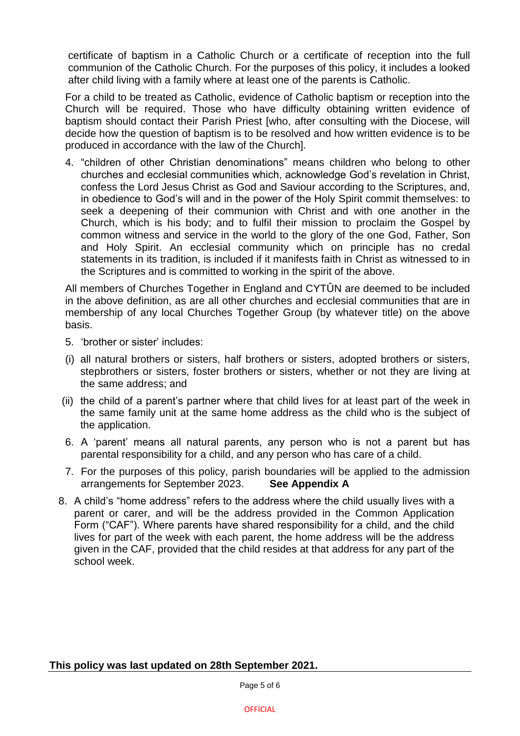certificate of baptism in a Catholic Church or a certificate of reception into the full communion of the Catholic Church. For the purposes of this policy, it includes a looked after child living with a family where at least one of the parents is Catholic.

For a child to be treated as Catholic, evidence of Catholic baptism or reception into the Church will be required. Those who have difficulty obtaining written evidence of baptism should contact their Parish Priest [who, after consulting with the Diocese, will decide how the question of baptism is to be resolved and how written evidence is to be produced in accordance with the law of the Church].

4. "children of other Christian denominations" means children who belong to other churches and ecclesial communities which, acknowledge God's revelation in Christ, confess the Lord Jesus Christ as God and Saviour according to the Scriptures, and, in obedience to God's will and in the power of the Holy Spirit commit themselves: to seek a deepening of their communion with Christ and with one another in the Church, which is his body; and to fulfil their mission to proclaim the Gospel by common witness and service in the world to the glory of the one God, Father, Son and Holy Spirit. An ecclesial community which on principle has no credal statements in its tradition, is included if it manifests faith in Christ as witnessed to in the Scriptures and is committed to working in the spirit of the above.

All members of Churches Together in England and CYTÛN are deemed to be included in the above definition, as are all other churches and ecclesial communities that are in membership of any local Churches Together Group (by whatever title) on the above basis.

- 5. 'brother or sister' includes:
- (i) all natural brothers or sisters, half brothers or sisters, adopted brothers or sisters, stepbrothers or sisters, foster brothers or sisters, whether or not they are living at the same address; and
- (ii) the child of a parent's partner where that child lives for at least part of the week in the same family unit at the same home address as the child who is the subject of the application.
- 6. A 'parent' means all natural parents, any person who is not a parent but has parental responsibility for a child, and any person who has care of a child.
- 7. For the purposes of this policy, parish boundaries will be applied to the admission arrangements for September 2023. **See Appendix A**
- 8. A child's "home address" refers to the address where the child usually lives with a parent or carer, and will be the address provided in the Common Application Form ("CAF"). Where parents have shared responsibility for a child, and the child lives for part of the week with each parent, the home address will be the address given in the CAF, provided that the child resides at that address for any part of the school week.

#### **This policy was last updated on 28th September 2021.**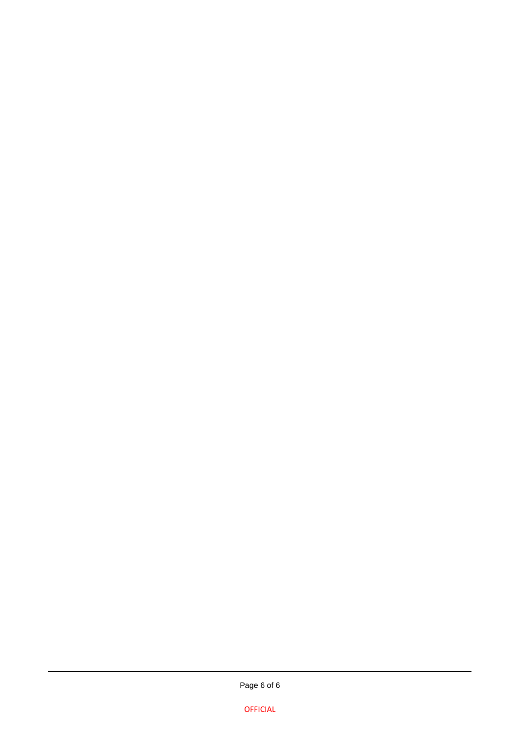Page 6 of 6

OFFICIAL